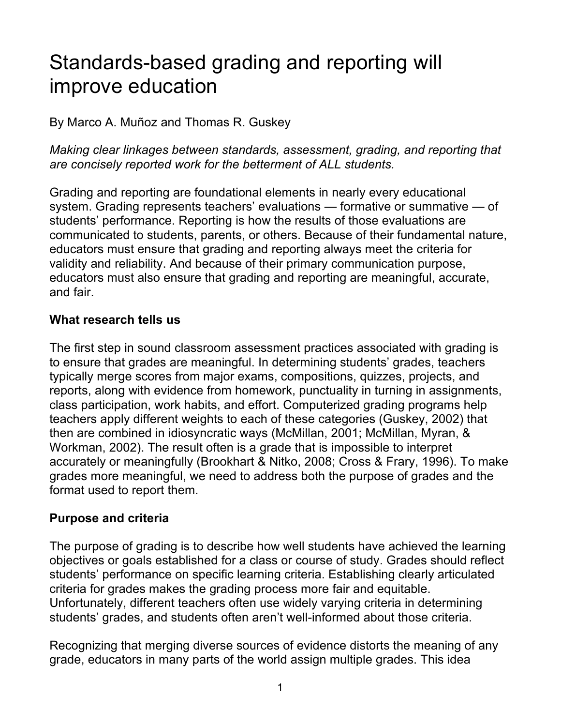# Standards-based grading and reporting will improve education

By Marco A. Muñoz and Thomas R. Guskey

*Making clear linkages between standards, assessment, grading, and reporting that are concisely reported work for the betterment of ALL students.*

Grading and reporting are foundational elements in nearly every educational system. Grading represents teachers' evaluations — formative or summative — of students' performance. Reporting is how the results of those evaluations are communicated to students, parents, or others. Because of their fundamental nature, educators must ensure that grading and reporting always meet the criteria for validity and reliability. And because of their primary communication purpose, educators must also ensure that grading and reporting are meaningful, accurate, and fair.

### **What research tells us**

The first step in sound classroom assessment practices associated with grading is to ensure that grades are meaningful. In determining students' grades, teachers typically merge scores from major exams, compositions, quizzes, projects, and reports, along with evidence from homework, punctuality in turning in assignments, class participation, work habits, and effort. Computerized grading programs help teachers apply different weights to each of these categories (Guskey, 2002) that then are combined in idiosyncratic ways (McMillan, 2001; McMillan, Myran, & Workman, 2002). The result often is a grade that is impossible to interpret accurately or meaningfully (Brookhart & Nitko, 2008; Cross & Frary, 1996). To make grades more meaningful, we need to address both the purpose of grades and the format used to report them.

# **Purpose and criteria**

The purpose of grading is to describe how well students have achieved the learning objectives or goals established for a class or course of study. Grades should reflect students' performance on specific learning criteria. Establishing clearly articulated criteria for grades makes the grading process more fair and equitable. Unfortunately, different teachers often use widely varying criteria in determining students' grades, and students often aren't well-informed about those criteria.

Recognizing that merging diverse sources of evidence distorts the meaning of any grade, educators in many parts of the world assign multiple grades. This idea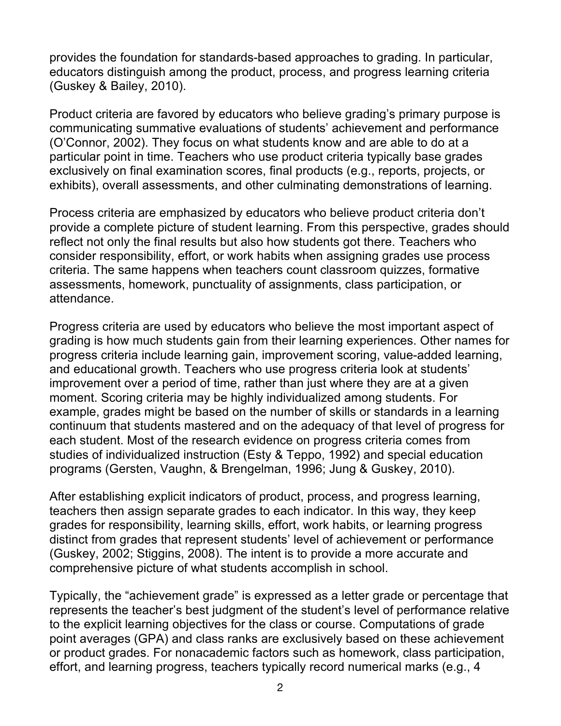provides the foundation for standards-based approaches to grading. In particular, educators distinguish among the product, process, and progress learning criteria (Guskey & Bailey, 2010).

Product criteria are favored by educators who believe grading's primary purpose is communicating summative evaluations of students' achievement and performance (O'Connor, 2002). They focus on what students know and are able to do at a particular point in time. Teachers who use product criteria typically base grades exclusively on final examination scores, final products (e.g., reports, projects, or exhibits), overall assessments, and other culminating demonstrations of learning.

Process criteria are emphasized by educators who believe product criteria don't provide a complete picture of student learning. From this perspective, grades should reflect not only the final results but also how students got there. Teachers who consider responsibility, effort, or work habits when assigning grades use process criteria. The same happens when teachers count classroom quizzes, formative assessments, homework, punctuality of assignments, class participation, or attendance.

Progress criteria are used by educators who believe the most important aspect of grading is how much students gain from their learning experiences. Other names for progress criteria include learning gain, improvement scoring, value-added learning, and educational growth. Teachers who use progress criteria look at students' improvement over a period of time, rather than just where they are at a given moment. Scoring criteria may be highly individualized among students. For example, grades might be based on the number of skills or standards in a learning continuum that students mastered and on the adequacy of that level of progress for each student. Most of the research evidence on progress criteria comes from studies of individualized instruction (Esty & Teppo, 1992) and special education programs (Gersten, Vaughn, & Brengelman, 1996; Jung & Guskey, 2010).

After establishing explicit indicators of product, process, and progress learning, teachers then assign separate grades to each indicator. In this way, they keep grades for responsibility, learning skills, effort, work habits, or learning progress distinct from grades that represent students' level of achievement or performance (Guskey, 2002; Stiggins, 2008). The intent is to provide a more accurate and comprehensive picture of what students accomplish in school.

Typically, the "achievement grade" is expressed as a letter grade or percentage that represents the teacher's best judgment of the student's level of performance relative to the explicit learning objectives for the class or course. Computations of grade point averages (GPA) and class ranks are exclusively based on these achievement or product grades. For nonacademic factors such as homework, class participation, effort, and learning progress, teachers typically record numerical marks (e.g., 4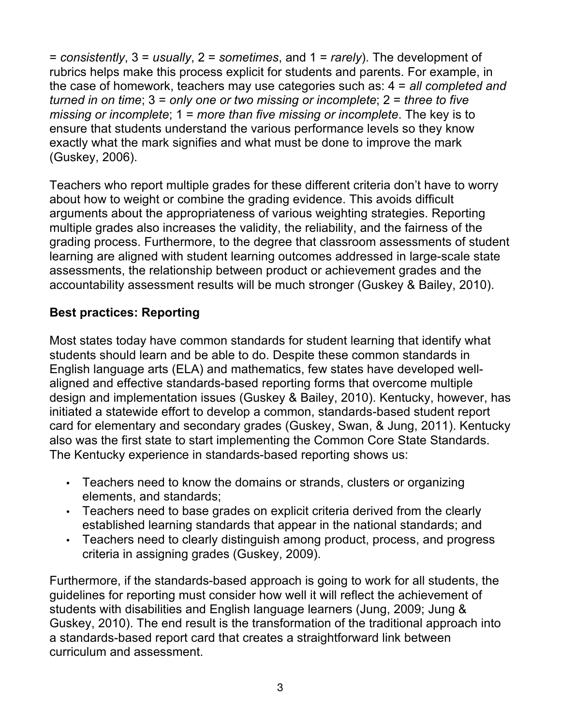= *consistently*, 3 = *usually*, 2 = *sometimes*, and 1 = *rarely*). The development of rubrics helps make this process explicit for students and parents. For example, in the case of homework, teachers may use categories such as: 4 = *all completed and turned in on time*; 3 = *only one or two missing or incomplete*; 2 = *three to five missing or incomplete*; 1 = *more than five missing or incomplete*. The key is to ensure that students understand the various performance levels so they know exactly what the mark signifies and what must be done to improve the mark (Guskey, 2006).

Teachers who report multiple grades for these different criteria don't have to worry about how to weight or combine the grading evidence. This avoids difficult arguments about the appropriateness of various weighting strategies. Reporting multiple grades also increases the validity, the reliability, and the fairness of the grading process. Furthermore, to the degree that classroom assessments of student learning are aligned with student learning outcomes addressed in large-scale state assessments, the relationship between product or achievement grades and the accountability assessment results will be much stronger (Guskey & Bailey, 2010).

# **Best practices: Reporting**

Most states today have common standards for student learning that identify what students should learn and be able to do. Despite these common standards in English language arts (ELA) and mathematics, few states have developed wellaligned and effective standards-based reporting forms that overcome multiple design and implementation issues (Guskey & Bailey, 2010). Kentucky, however, has initiated a statewide effort to develop a common, standards-based student report card for elementary and secondary grades (Guskey, Swan, & Jung, 2011). Kentucky also was the first state to start implementing the Common Core State Standards. The Kentucky experience in standards-based reporting shows us:

- Teachers need to know the domains or strands, clusters or organizing elements, and standards;
- Teachers need to base grades on explicit criteria derived from the clearly established learning standards that appear in the national standards; and
- Teachers need to clearly distinguish among product, process, and progress criteria in assigning grades (Guskey, 2009).

Furthermore, if the standards-based approach is going to work for all students, the guidelines for reporting must consider how well it will reflect the achievement of students with disabilities and English language learners (Jung, 2009; Jung & Guskey, 2010). The end result is the transformation of the traditional approach into a standards-based report card that creates a straightforward link between curriculum and assessment.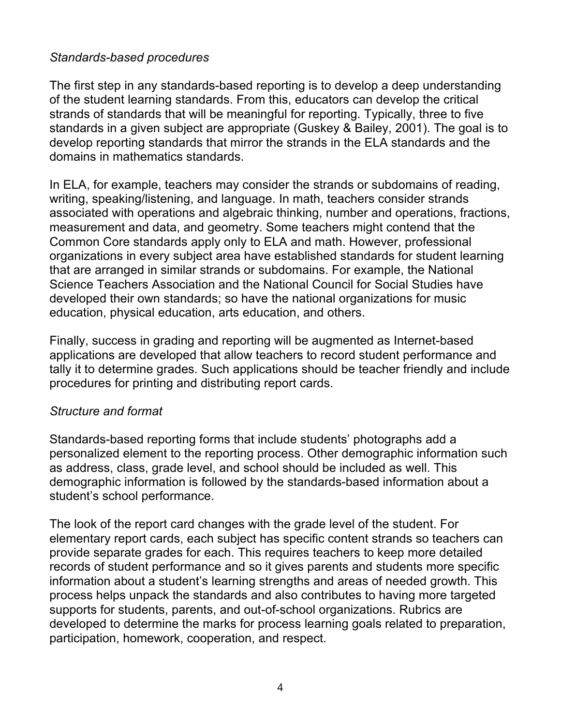#### *Standards-based procedures*

The first step in any standards-based reporting is to develop a deep understanding of the student learning standards. From this, educators can develop the critical strands of standards that will be meaningful for reporting. Typically, three to five standards in a given subject are appropriate (Guskey & Bailey, 2001). The goal is to develop reporting standards that mirror the strands in the ELA standards and the domains in mathematics standards.

In ELA, for example, teachers may consider the strands or subdomains of reading, writing, speaking/listening, and language. In math, teachers consider strands associated with operations and algebraic thinking, number and operations, fractions, measurement and data, and geometry. Some teachers might contend that the Common Core standards apply only to ELA and math. However, professional organizations in every subject area have established standards for student learning that are arranged in similar strands or subdomains. For example, the National Science Teachers Association and the National Council for Social Studies have developed their own standards; so have the national organizations for music education, physical education, arts education, and others.

Finally, success in grading and reporting will be augmented as Internet-based applications are developed that allow teachers to record student performance and tally it to determine grades. Such applications should be teacher friendly and include procedures for printing and distributing report cards.

#### *Structure and format*

Standards-based reporting forms that include students' photographs add a personalized element to the reporting process. Other demographic information such as address, class, grade level, and school should be included as well. This demographic information is followed by the standards-based information about a student's school performance.

The look of the report card changes with the grade level of the student. For elementary report cards, each subject has specific content strands so teachers can provide separate grades for each. This requires teachers to keep more detailed records of student performance and so it gives parents and students more specific information about a student's learning strengths and areas of needed growth. This process helps unpack the standards and also contributes to having more targeted supports for students, parents, and out-of-school organizations. Rubrics are developed to determine the marks for process learning goals related to preparation, participation, homework, cooperation, and respect.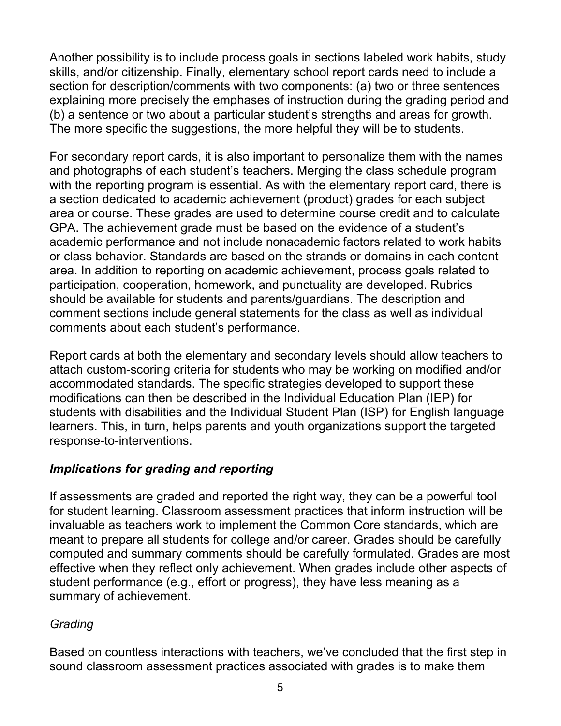Another possibility is to include process goals in sections labeled work habits, study skills, and/or citizenship. Finally, elementary school report cards need to include a section for description/comments with two components: (a) two or three sentences explaining more precisely the emphases of instruction during the grading period and (b) a sentence or two about a particular student's strengths and areas for growth. The more specific the suggestions, the more helpful they will be to students.

For secondary report cards, it is also important to personalize them with the names and photographs of each student's teachers. Merging the class schedule program with the reporting program is essential. As with the elementary report card, there is a section dedicated to academic achievement (product) grades for each subject area or course. These grades are used to determine course credit and to calculate GPA. The achievement grade must be based on the evidence of a student's academic performance and not include nonacademic factors related to work habits or class behavior. Standards are based on the strands or domains in each content area. In addition to reporting on academic achievement, process goals related to participation, cooperation, homework, and punctuality are developed. Rubrics should be available for students and parents/guardians. The description and comment sections include general statements for the class as well as individual comments about each student's performance.

Report cards at both the elementary and secondary levels should allow teachers to attach custom-scoring criteria for students who may be working on modified and/or accommodated standards. The specific strategies developed to support these modifications can then be described in the Individual Education Plan (IEP) for students with disabilities and the Individual Student Plan (ISP) for English language learners. This, in turn, helps parents and youth organizations support the targeted response-to-interventions.

### *Implications for grading and reporting*

If assessments are graded and reported the right way, they can be a powerful tool for student learning. Classroom assessment practices that inform instruction will be invaluable as teachers work to implement the Common Core standards, which are meant to prepare all students for college and/or career. Grades should be carefully computed and summary comments should be carefully formulated. Grades are most effective when they reflect only achievement. When grades include other aspects of student performance (e.g., effort or progress), they have less meaning as a summary of achievement.

# *Grading*

Based on countless interactions with teachers, we've concluded that the first step in sound classroom assessment practices associated with grades is to make them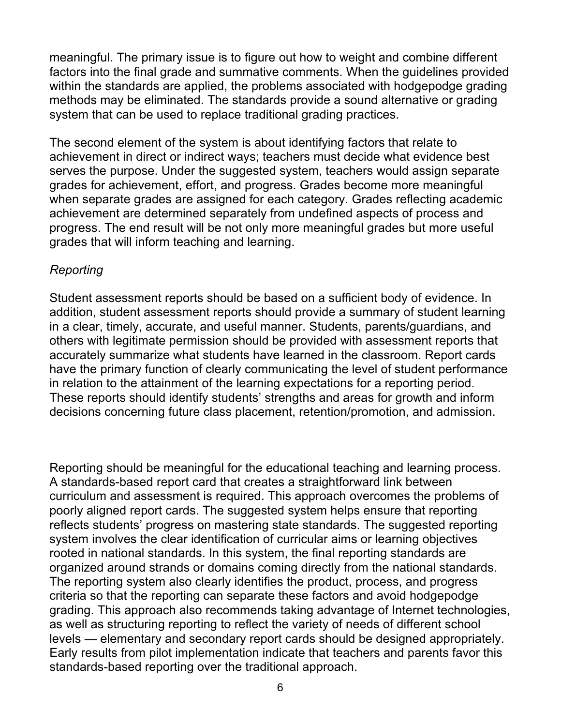meaningful. The primary issue is to figure out how to weight and combine different factors into the final grade and summative comments. When the guidelines provided within the standards are applied, the problems associated with hodgepodge grading methods may be eliminated. The standards provide a sound alternative or grading system that can be used to replace traditional grading practices.

The second element of the system is about identifying factors that relate to achievement in direct or indirect ways; teachers must decide what evidence best serves the purpose. Under the suggested system, teachers would assign separate grades for achievement, effort, and progress. Grades become more meaningful when separate grades are assigned for each category. Grades reflecting academic achievement are determined separately from undefined aspects of process and progress. The end result will be not only more meaningful grades but more useful grades that will inform teaching and learning.

#### *Reporting*

Student assessment reports should be based on a sufficient body of evidence. In addition, student assessment reports should provide a summary of student learning in a clear, timely, accurate, and useful manner. Students, parents/guardians, and others with legitimate permission should be provided with assessment reports that accurately summarize what students have learned in the classroom. Report cards have the primary function of clearly communicating the level of student performance in relation to the attainment of the learning expectations for a reporting period. These reports should identify students' strengths and areas for growth and inform decisions concerning future class placement, retention/promotion, and admission.

Reporting should be meaningful for the educational teaching and learning process. A standards-based report card that creates a straightforward link between curriculum and assessment is required. This approach overcomes the problems of poorly aligned report cards. The suggested system helps ensure that reporting reflects students' progress on mastering state standards. The suggested reporting system involves the clear identification of curricular aims or learning objectives rooted in national standards. In this system, the final reporting standards are organized around strands or domains coming directly from the national standards. The reporting system also clearly identifies the product, process, and progress criteria so that the reporting can separate these factors and avoid hodgepodge grading. This approach also recommends taking advantage of Internet technologies, as well as structuring reporting to reflect the variety of needs of different school levels — elementary and secondary report cards should be designed appropriately. Early results from pilot implementation indicate that teachers and parents favor this standards-based reporting over the traditional approach.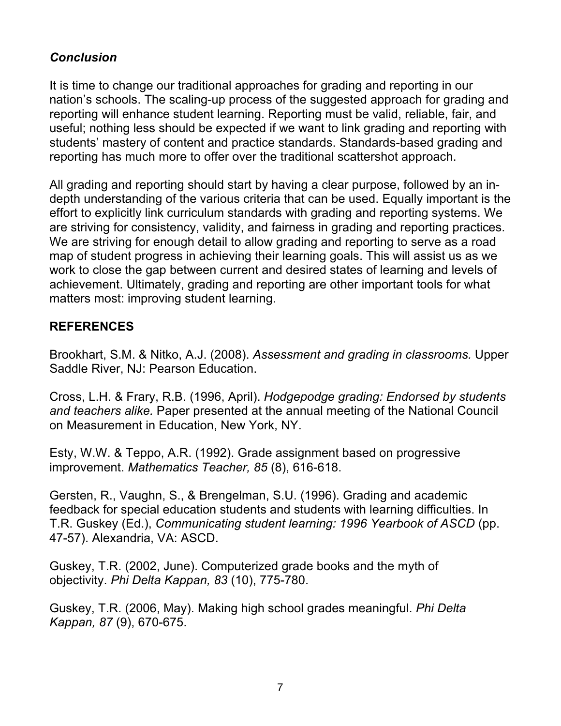## *Conclusion*

It is time to change our traditional approaches for grading and reporting in our nation's schools. The scaling-up process of the suggested approach for grading and reporting will enhance student learning. Reporting must be valid, reliable, fair, and useful; nothing less should be expected if we want to link grading and reporting with students' mastery of content and practice standards. Standards-based grading and reporting has much more to offer over the traditional scattershot approach.

All grading and reporting should start by having a clear purpose, followed by an indepth understanding of the various criteria that can be used. Equally important is the effort to explicitly link curriculum standards with grading and reporting systems. We are striving for consistency, validity, and fairness in grading and reporting practices. We are striving for enough detail to allow grading and reporting to serve as a road map of student progress in achieving their learning goals. This will assist us as we work to close the gap between current and desired states of learning and levels of achievement. Ultimately, grading and reporting are other important tools for what matters most: improving student learning.

## **REFERENCES**

Brookhart, S.M. & Nitko, A.J. (2008). *Assessment and grading in classrooms.* Upper Saddle River, NJ: Pearson Education.

Cross, L.H. & Frary, R.B. (1996, April). *Hodgepodge grading: Endorsed by students and teachers alike.* Paper presented at the annual meeting of the National Council on Measurement in Education, New York, NY.

Esty, W.W. & Teppo, A.R. (1992). Grade assignment based on progressive improvement. *Mathematics Teacher, 85* (8), 616-618.

Gersten, R., Vaughn, S., & Brengelman, S.U. (1996). Grading and academic feedback for special education students and students with learning difficulties. In T.R. Guskey (Ed.), *Communicating student learning: 1996 Yearbook of ASCD* (pp. 47-57). Alexandria, VA: ASCD.

Guskey, T.R. (2002, June). Computerized grade books and the myth of objectivity. *Phi Delta Kappan, 83* (10), 775-780.

Guskey, T.R. (2006, May). Making high school grades meaningful. *Phi Delta Kappan, 87* (9), 670-675.